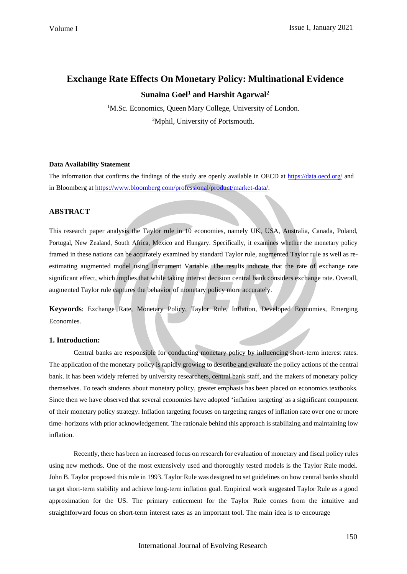# **Exchange Rate Effects On Monetary Policy: Multinational Evidence**

## **Sunaina Goel<sup>1</sup> and Harshit Agarwal<sup>2</sup>**

<sup>1</sup>M.Sc. Economics, Queen Mary College, University of London. <sup>2</sup>Mphil, University of Portsmouth.

## **Data Availability Statement**

The information that confirms the findings of the study are openly available in OECD at <https://data.oecd.org/> and in Bloomberg at [https://www.bloomberg.com/professional/product/market-data/.](https://www.bloomberg.com/professional/product/market-data/)

## **ABSTRACT**

This research paper analysis the Taylor rule in 10 economies, namely UK, USA, Australia, Canada, Poland, Portugal, New Zealand, South Africa, Mexico and Hungary. Specifically, it examines whether the monetary policy framed in these nations can be accurately examined by standard Taylor rule, augmented Taylor rule as well as reestimating augmented model using Instrument Variable. The results indicate that the rate of exchange rate significant effect, which implies that while taking interest decision central bank considers exchange rate. Overall, augmented Taylor rule captures the behavior of monetary policy more accurately.

**Keywords**: Exchange Rate, Monetary Policy, Taylor Rule, Inflation, Developed Economies, Emerging Economies.

## **1. Introduction:**

Central banks are responsible for conducting monetary policy by influencing short-term interest rates. The application of the monetary policy is rapidly growing to describe and evaluate the policy actions of the central bank. It has been widely referred by university researchers, central bank staff, and the makers of monetary policy themselves. To teach students about monetary policy, greater emphasis has been placed on economics textbooks. Since then we have observed that several economies have adopted 'inflation targeting' as a significant component of their monetary policy strategy. Inflation targeting focuses on targeting ranges of inflation rate over one or more time- horizons with prior acknowledgement. The rationale behind this approach is stabilizing and maintaining low inflation.

Recently, there has been an increased focus on research for evaluation of monetary and fiscal policy rules using new methods. One of the most extensively used and thoroughly tested models is the Taylor Rule model. John B. Taylor proposed this rule in 1993. Taylor Rule was designed to set guidelines on how central banks should target short-term stability and achieve long-term inflation goal. Empirical work suggested Taylor Rule as a good approximation for the US. The primary enticement for the Taylor Rule comes from the intuitive and straightforward focus on short-term interest rates as an important tool. The main idea is to encourage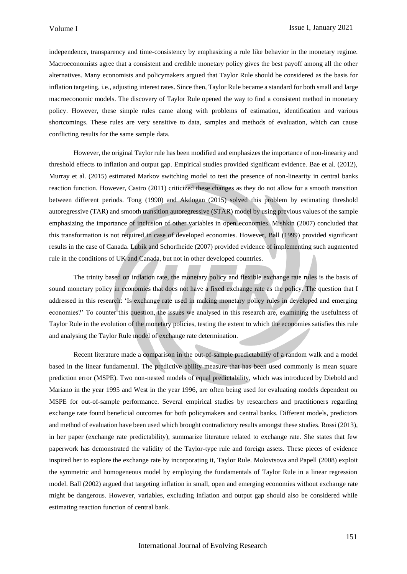independence, transparency and time-consistency by emphasizing a rule like behavior in the monetary regime. Macroeconomists agree that a consistent and credible monetary policy gives the best payoff among all the other alternatives. Many economists and policymakers argued that Taylor Rule should be considered as the basis for inflation targeting, i.e., adjusting interest rates. Since then, Taylor Rule became a standard for both small and large macroeconomic models. The discovery of Taylor Rule opened the way to find a consistent method in monetary policy. However, these simple rules came along with problems of estimation, identification and various shortcomings. These rules are very sensitive to data, samples and methods of evaluation, which can cause conflicting results for the same sample data.

However, the original Taylor rule has been modified and emphasizes the importance of non-linearity and threshold effects to inflation and output gap. Empirical studies provided significant evidence. Bae et al. (2012), Murray et al. (2015) estimated Markov switching model to test the presence of non-linearity in central banks reaction function. However, Castro (2011) criticized these changes as they do not allow for a smooth transition between different periods. Tong (1990) and Akdogan (2015) solved this problem by estimating threshold autoregressive (TAR) and smooth transition autoregressive (STAR) model by using previous values of the sample emphasizing the importance of inclusion of other variables in open economies. Mishkin (2007) concluded that this transformation is not required in case of developed economies. However, Ball (1999) provided significant results in the case of Canada. Lubik and Schorfheide (2007) provided evidence of implementing such augmented rule in the conditions of UK and Canada, but not in other developed countries.

The trinity based on inflation rate, the monetary policy and flexible exchange rate rules is the basis of sound monetary policy in economies that does not have a fixed exchange rate as the policy. The question that I addressed in this research: 'Is exchange rate used in making monetary policy rules in developed and emerging economies?' To counter this question, the issues we analysed in this research are, examining the usefulness of Taylor Rule in the evolution of the monetary policies, testing the extent to which the economies satisfies this rule and analysing the Taylor Rule model of exchange rate determination.

Recent literature made a comparison in the out-of-sample predictability of a random walk and a model based in the linear fundamental. The predictive ability measure that has been used commonly is mean square prediction error (MSPE). Two non-nested models of equal predictability, which was introduced by Diebold and Mariano in the year 1995 and West in the year 1996, are often being used for evaluating models dependent on MSPE for out-of-sample performance. Several empirical studies by researchers and practitioners regarding exchange rate found beneficial outcomes for both policymakers and central banks. Different models, predictors and method of evaluation have been used which brought contradictory results amongst these studies. Rossi (2013), in her paper (exchange rate predictability), summarize literature related to exchange rate. She states that few paperwork has demonstrated the validity of the Taylor-type rule and foreign assets. These pieces of evidence inspired her to explore the exchange rate by incorporating it, Taylor Rule. Molovtsova and Papell (2008) exploit the symmetric and homogeneous model by employing the fundamentals of Taylor Rule in a linear regression model. Ball (2002) argued that targeting inflation in small, open and emerging economies without exchange rate might be dangerous. However, variables, excluding inflation and output gap should also be considered while estimating reaction function of central bank.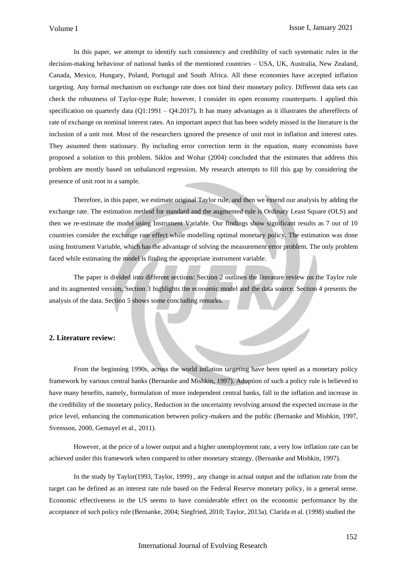In this paper, we attempt to identify such consistency and credibility of such systematic rules in the decision-making behaviour of national banks of the mentioned countries – USA, UK, Australia, New Zealand, Canada, Mexico, Hungary, Poland, Portugal and South Africa. All these economies have accepted inflation targeting. Any formal mechanism on exchange rate does not bind their monetary policy. Different data sets can check the robustness of Taylor-type Rule; however, I consider its open economy counterparts. I applied this specification on quarterly data ( $Q1:1991 - Q4:2017$ ). It has many advantages as it illustrates the aftereffects of rate of exchange on nominal interest rates. An important aspect that has been widely missed in the literature is the inclusion of a unit root. Most of the researchers ignored the presence of unit root in inflation and interest rates. They assumed them stationary. By including error correction term in the equation, many economists have proposed a solution to this problem. Siklos and Wohar (2004) concluded that the estimates that address this problem are mostly based on unbalanced regression. My research attempts to fill this gap by considering the presence of unit root in a sample.

Therefore, in this paper, we estimate original Taylor rule, and then we extend our analysis by adding the exchange rate. The estimation method for standard and the augmented rule is Ordinary Least Square (OLS) and then we re-estimate the model using Instrument Variable. Our findings show significant results as 7 out of 10 countries consider the exchange rate effect while modelling optimal monetary policy. The estimation was done using Instrument Variable, which has the advantage of solving the measurement error problem. The only problem faced while estimating the model is finding the appropriate instrument variable.

The paper is divided into different sections: Section 2 outlines the literature review on the Taylor rule and its augmented version, Section 3 highlights the economic model and the data source. Section 4 presents the analysis of the data. Section 5 shows some concluding remarks.

## **2. Literature review:**

From the beginning 1990s, across the world inflation targeting have been opted as a monetary policy framework by various central banks (Bernanke and Mishkin, 1997). Adoption of such a policy rule is believed to have many benefits, namely, formulation of more independent central banks, fall in the inflation and increase in the credibility of the monetary policy, Reduction in the uncertainty revolving around the expected increase in the price level, enhancing the communication between policy-makers and the public (Bernanke and Mishkin, 1997, Svensson, 2000, Gemayel et al., 2011).

However, at the price of a lower output and a higher unemployment rate, a very low inflation rate can be achieved under this framework when compared to other monetary strategy. (Bernanke and Mishkin, 1997).

In the study by Taylor(1993, Taylor, 1999) , any change in actual output and the inflation rate from the target can be defined as an interest rate rule based on the Federal Reserve monetary policy, in a general sense. Economic effectiveness in the US seems to have considerable effect on the economic performance by the acceptance of such policy rule (Bernanke, 2004; Siegfried, 2010; Taylor, 2013a). Clarida et al. (1998) studied the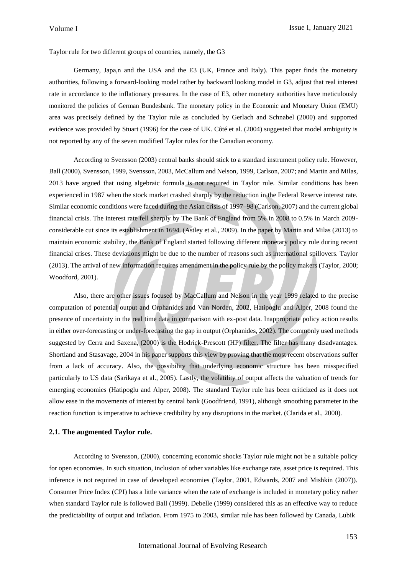Taylor rule for two different groups of countries, namely, the G3

Germany, Japa,n and the USA and the E3 (UK, France and Italy). This paper finds the monetary authorities, following a forward-looking model rather by backward looking model in G3, adjust that real interest rate in accordance to the inflationary pressures. In the case of E3, other monetary authorities have meticulously monitored the policies of German Bundesbank. The monetary policy in the Economic and Monetary Union (EMU) area was precisely defined by the Taylor rule as concluded by Gerlach and Schnabel (2000) and supported evidence was provided by Stuart (1996) for the case of UK. Côté et al. (2004) suggested that model ambiguity is not reported by any of the seven modified Taylor rules for the Canadian economy.

According to Svensson (2003) central banks should stick to a standard instrument policy rule. However, Ball (2000), Svensson, 1999, Svensson, 2003, McCallum and Nelson, 1999, Carlson, 2007; and Martin and Milas, 2013 have argued that using algebraic formula is not required in Taylor rule. Similar conditions has been experienced in 1987 when the stock market crashed sharply by the reduction in the Federal Reserve interest rate. Similar economic conditions were faced during the Asian crisis of 1997–98 (Carlson, 2007) and the current global financial crisis. The interest rate fell sharply by The Bank of England from 5% in 2008 to 0.5% in March 2009 considerable cut since its establishment in 1694. (Astley et al., 2009). In the paper by Martin and Milas (2013) to maintain economic stability, the Bank of England started following different monetary policy rule during recent financial crises. These deviations might be due to the number of reasons such as international spillovers. Taylor (2013). The arrival of new information requires amendment in the policy rule by the policy makers (Taylor, 2000; Woodford, 2001).

Also, there are other issues focused by MacCallum and Nelson in the year 1999 related to the precise computation of potential output and Orphanides and Van Norden, 2002, Hatipoglu and Alper, 2008 found the presence of uncertainty in the real time data in comparison with ex-post data. Inappropriate policy action results in either over-forecasting or under-forecasting the gap in output (Orphanides, 2002). The commonly used methods suggested by Cerra and Saxena, (2000) is the Hodrick-Prescott (HP) filter. The filter has many disadvantages. Shortland and Stasavage, 2004 in his paper supports this view by proving that the most recent observations suffer from a lack of accuracy. Also, the possibility that underlying economic structure has been misspecified particularly to US data (Sarikaya et al., 2005). Lastly, the volatility of output affects the valuation of trends for emerging economies (Hatipoglu and Alper, 2008). The standard Taylor rule has been criticized as it does not allow ease in the movements of interest by central bank (Goodfriend, 1991), although smoothing parameter in the reaction function is imperative to achieve credibility by any disruptions in the market. (Clarida et al., 2000).

#### **2.1. The augmented Taylor rule.**

According to Svensson, (2000), concerning economic shocks Taylor rule might not be a suitable policy for open economies. In such situation, inclusion of other variables like exchange rate, asset price is required. This inference is not required in case of developed economies (Taylor, 2001, Edwards, 2007 and Mishkin (2007)). Consumer Price Index (CPI) has a little variance when the rate of exchange is included in monetary policy rather when standard Taylor rule is followed Ball (1999). Debelle (1999) considered this as an effective way to reduce the predictability of output and inflation. From 1975 to 2003, similar rule has been followed by Canada, Lubik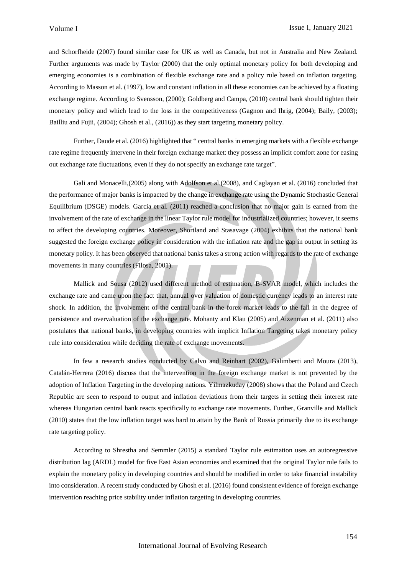and Schorfheide (2007) found similar case for UK as well as Canada, but not in Australia and New Zealand. Further arguments was made by Taylor (2000) that the only optimal monetary policy for both developing and emerging economies is a combination of flexible exchange rate and a policy rule based on inflation targeting. According to Masson et al. (1997), low and constant inflation in all these economies can be achieved by a floating exchange regime. According to Svensson, (2000); Goldberg and Campa, (2010) central bank should tighten their monetary policy and which lead to the loss in the competitiveness (Gagnon and Ihrig, (2004); Baily, (2003); Bailliu and Fujii, (2004); Ghosh et al., (2016)) as they start targeting monetary policy.

Further, Daude et al. (2016) highlighted that " central banks in emerging markets with a flexible exchange rate regime frequently intervene in their foreign exchange market: they possess an implicit comfort zone for easing out exchange rate fluctuations, even if they do not specify an exchange rate target".

Gali and Monacelli,(2005) along with Adolfson et al.(2008), and Caglayan et al. (2016) concluded that the performance of major banks is impacted by the change in exchange rate using the Dynamic Stochastic General Equilibrium (DSGE) models. Garcia et al. (2011) reached a conclusion that no major gain is earned from the involvement of the rate of exchange in the linear Taylor rule model for industrialized countries; however, it seems to affect the developing countries. Moreover, Shortland and Stasavage (2004) exhibits that the national bank suggested the foreign exchange policy in consideration with the inflation rate and the gap in output in setting its monetary policy. It has been observed that national banks takes a strong action with regardsto the rate of exchange movements in many countries (Filosa, 2001).

Mallick and Sousa (2012) used different method of estimation, B-SVAR model, which includes the exchange rate and came upon the fact that, annual over valuation of domestic currency leads to an interest rate shock. In addition, the involvement of the central bank in the forex market leads to the fall in the degree of persistence and overvaluation of the exchange rate. Mohanty and Klau (2005) and Aizenman et al. (2011) also postulates that national banks, in developing countries with implicit Inflation Targeting takes monetary policy rule into consideration while deciding the rate of exchange movements.

In few a research studies conducted by Calvo and Reinhart (2002), Galimberti and Moura (2013), Catalán-Herrera (2016) discuss that the intervention in the foreign exchange market is not prevented by the adoption of Inflation Targeting in the developing nations. Yilmazkuday (2008) shows that the Poland and Czech Republic are seen to respond to output and inflation deviations from their targets in setting their interest rate whereas Hungarian central bank reacts specifically to exchange rate movements. Further, Granville and Mallick (2010) states that the low inflation target was hard to attain by the Bank of Russia primarily due to its exchange rate targeting policy.

According to Shrestha and Semmler (2015) a standard Taylor rule estimation uses an autoregressive distribution lag (ARDL) model for five East Asian economies and examined that the original Taylor rule fails to explain the monetary policy in developing countries and should be modified in order to take financial instability into consideration. A recent study conducted by Ghosh et al. (2016) found consistent evidence of foreign exchange intervention reaching price stability under inflation targeting in developing countries.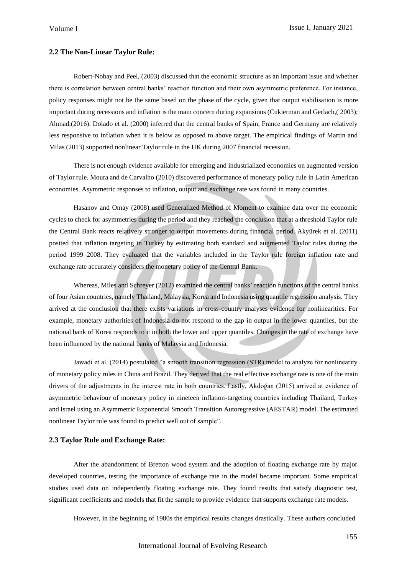## **2.2 The Non-Linear Taylor Rule:**

Robert-Nobay and Peel, (2003) discussed that the economic structure as an important issue and whether there is correlation between central banks' reaction function and their own asymmetric preference. For instance, policy responses might not be the same based on the phase of the cycle, given that output stabilisation is more important during recessions and inflation is the main concern during expansions (Cukierman and Gerlach,( 2003); Ahmad,(2016). Dolado et al. (2000) inferred that the central banks of Spain, France and Germany are relatively less responsive to inflation when it is below as opposed to above target. The empirical findings of Martin and Milas (2013) supported nonlinear Taylor rule in the UK during 2007 financial recession.

There is not enough evidence available for emerging and industrialized economies on augmented version of Taylor rule. Moura and de Carvalho (2010) discovered performance of monetary policy rule in Latin American economies. Asymmetric responses to inflation, output and exchange rate was found in many countries.

Hasanov and Omay (2008) used Generalized Method of Moment to examine data over the economic cycles to check for asymmetries during the period and they reached the conclusion that at a threshold Taylor rule the Central Bank reacts relatively stronger to output movements during financial period. Akyürek et al. (2011) posited that inflation targeting in Turkey by estimating both standard and augmented Taylor rules during the period 1999–2008. They evaluated that the variables included in the Taylor rule foreign inflation rate and exchange rate accurately considers the monetary policy of the Central Bank.

Whereas, Miles and Schreyer (2012) examined the central banks' reaction functions of the central banks of four Asian countries, namely Thailand, Malaysia, Korea and Indonesia using quantile regression analysis. They arrived at the conclusion that there exists variations in cross-country analyses evidence for nonlinearities. For example, monetary authorities of Indonesia do not respond to the gap in output in the lower quantiles, but the national bank of Korea responds to it in both the lower and upper quantiles. Changes in the rate of exchange have been influenced by the national banks of Malaysia and Indonesia.

Jawadi et al. (2014) postulated "a smooth transition regression (STR) model to analyze for nonlinearity of monetary policy rules in China and Brazil. They derived that the real effective exchange rate is one of the main drivers of the adjustments in the interest rate in both countries. Lastly, Akdoğan (2015) arrived at evidence of asymmetric behaviour of monetary policy in nineteen inflation-targeting countries including Thailand, Turkey and Israel using an Asymmetric Exponential Smooth Transition Autoregressive (AESTAR) model. The estimated nonlinear Taylor rule was found to predict well out of sample".

## **2.3 Taylor Rule and Exchange Rate:**

After the abandonment of Bretton wood system and the adoption of floating exchange rate by major developed countries, testing the importance of exchange rate in the model became important. Some empirical studies used data on independently floating exchange rate. They found results that satisfy diagnostic test, significant coefficients and models that fit the sample to provide evidence that supports exchange rate models.

However, in the beginning of 1980s the empirical results changes drastically. These authors concluded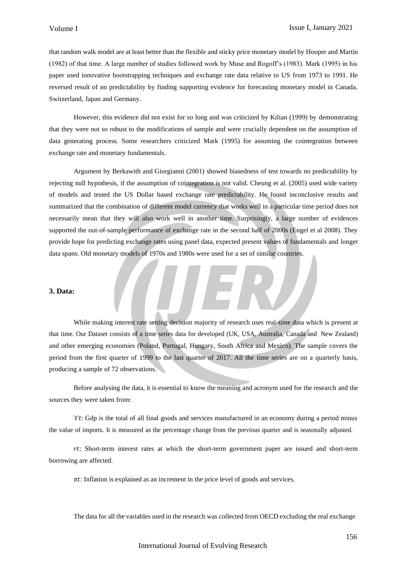that random walk model are at least better than the flexible and sticky price monetary model by Hooper and Martin (1982) of that time. A large number of studies followed work by Muse and Rogoff's (1983). Mark (1995) in his paper used innovative bootstrapping techniques and exchange rate data relative to US from 1973 to 1991. He reversed result of no predictability by finding supporting evidence for forecasting monetary model in Canada, Switzerland, Japan and Germany.

However, this evidence did not exist for so long and was criticized by Kilian (1999) by demonstrating that they were not so robust to the modifications of sample and were crucially dependent on the assumption of data generating process. Some researchers criticized Mark (1995) for assuming the cointegration between exchange rate and monetary fundamentals.

Argument by Berkawith and Giorgianni (2001) showed biasedness of test towards no predictability by rejecting null hypothesis, if the assumption of cointegration is not valid. Cheung et al. (2005) used wide variety of models and tested the US Dollar based exchange rate predictability. He found inconclusive results and summarized that the combination of different model currency that works well in a particular time period does not necessarily mean that they will also work well in another time. Surprisingly, a large number of evidences supported the out-of-sample performance of exchange rate in the second half of 2000s (Engel et al 2008). They provide hope for predicting exchange rates using panel data, expected present values of fundamentals and longer data spans. Old monetary models of 1970s and 1980s were used for a set of similar countries.

## **3. Data:**

While making interest rate setting decision majority of research uses real-time data which is present at that time. Our Dataset consists of a time series data for developed (UK, USA, Australia, Canada and New Zealand) and other emerging economies (Poland, Portugal, Hungary, South Africa and Mexico). The sample covers the period from the first quarter of 1999 to the last quarter of 2017. All the time series are on a quarterly basis, producing a sample of 72 observations.

Before analysing the data, it is essential to know the meaning and acronym used for the research and the sources they were taken from:

Yt: Gdp is the total of all final goods and services manufactured in an economy during a period minus the value of imports. It is measured as the percentage change from the previous quarter and is seasonally adjusted.

: Short-term interest rates at which the short-term government paper are issued and short-term borrowing are affected.

 $\pi t$ : Inflation is explained as an increment in the price level of goods and services.

The data for all the variables used in the research was collected from OECD excluding the real exchange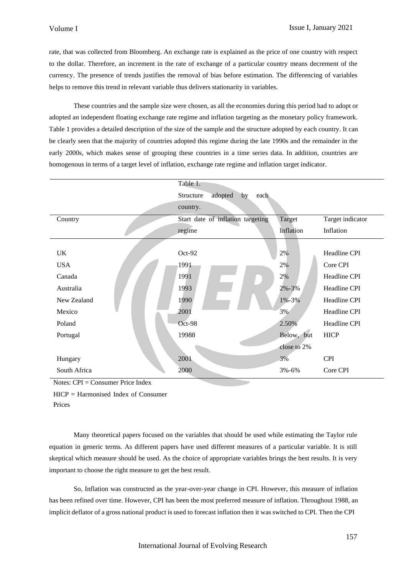rate, that was collected from Bloomberg. An exchange rate is explained as the price of one country with respect to the dollar. Therefore, an increment in the rate of exchange of a particular country means decrement of the currency. The presence of trends justifies the removal of bias before estimation. The differencing of variables helps to remove this trend in relevant variable thus delivers stationarity in variables.

These countries and the sample size were chosen, as all the economies during this period had to adopt or adopted an independent floating exchange rate regime and inflation targeting as the monetary policy framework. Table 1 provides a detailed description of the size of the sample and the structure adopted by each country. It can be clearly seen that the majority of countries adopted this regime during the late 1990s and the remainder in the early 2000s, which makes sense of grouping these countries in a time series data. In addition, countries are homogenous in terms of a target level of inflation, exchange rate regime and inflation target indicator.

|              | Table 1.                           |             |                  |
|--------------|------------------------------------|-------------|------------------|
|              | adopted<br>Structure<br>by<br>each |             |                  |
|              | country.                           |             |                  |
| Country      | Start date of inflation targeting  | Target      | Target indicator |
|              | regime                             | Inflation   | Inflation        |
|              |                                    |             |                  |
| UK           | $Oct-92$                           | 2%          | Headline CPI     |
| <b>USA</b>   | 1991                               | 2%          | Core CPI         |
| Canada       | 1991                               | 2%          | Headline CPI     |
| Australia    | 1993                               | 2%-3%       | Headline CPI     |
| New Zealand  | 1990                               | $1\% - 3\%$ | Headline CPI     |
| Mexico       | 2001                               | 3%          | Headline CPI     |
| Poland       | Oct-98                             | 2.50%       | Headline CPI     |
| Portugal     | 19988                              | Below, but  | <b>HICP</b>      |
|              |                                    | close to 2% |                  |
| Hungary      | 2001                               | 3%          | <b>CPI</b>       |
| South Africa | 2000                               | 3%-6%       | Core CPI         |

Notes: CPI = Consumer Price Index

HICP = Harmonised Index of Consumer Prices

Many theoretical papers focused on the variables that should be used while estimating the Taylor rule equation in generic terms. As different papers have used different measures of a particular variable. It is still skeptical which measure should be used. As the choice of appropriate variables brings the best results. It is very important to choose the right measure to get the best result.

So, Inflation was constructed as the year-over-year change in CPI. However, this measure of inflation has been refined over time. However, CPI has been the most preferred measure of inflation. Throughout 1988, an implicit deflator of a gross national product is used to forecast inflation then it was switched to CPI. Then the CPI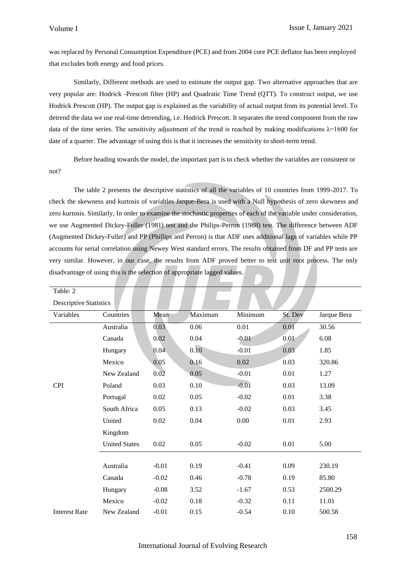was replaced by Personal Consumption Expenditure (PCE) and from 2004 core PCE deflator has been employed that excludes both energy and food prices.

Similarly, Different methods are used to estimate the output gap. Two alternative approaches that are very popular are: Hodrick -Prescott filter (HP) and Quadratic Time Trend (QTT). To construct output, we use Hodrick Prescott (HP). The output gap is explained as the variability of actual output from its potential level. To detrend the data we use real-time detrending, i.e. Hodrick Prescott. It separates the trend component from the raw data of the time series. The sensitivity adjustment of the trend is reached by making modifications  $\lambda$ =1600 for date of a quarter. The advantage of using this is that it increases the sensitivity to short-term trend.

Before heading towards the model, the important part is to check whether the variables are consistent or not?

The table 2 presents the descriptive statistics of all the variables of 10 countries from 1999-2017. To check the skewness and kurtosis of variables Jarque-Bera is used with a Null hypothesis of zero skewness and zero kurtosis. Similarly, In order to examine the stochastic properties of each of the variable under consideration, we use Augmented Dickey-Fuller (1981) test and the Philips-Perron (1988) test. The difference between ADF (Augmented Dickey-Fuller) and PP (Phillips and Perron) is that ADF uses additional lags of variables while PP accounts for serial correlation using Newey West standard errors. The results obtained from DF and PP tests are very similar. However, in our case, the results from ADF proved better to test unit root process. The only disadvantage of using this is the selection of appropriate lagged values.

| Table: 2                      |                      |         |         |         |         |             |  |  |
|-------------------------------|----------------------|---------|---------|---------|---------|-------------|--|--|
| <b>Descriptive Statistics</b> |                      |         |         |         |         |             |  |  |
| Variables                     | Countries            | Mean    | Maximum | Minimum | St. Dev | Jarque Bera |  |  |
|                               | Australia            | 0.03    | 0.06    | 0.01    | 0.01    | 30.56       |  |  |
|                               | Canada               | 0.02    | 0.04    | $-0.01$ | 0.01    | 6.08        |  |  |
|                               | Hungary              | 0.04    | 0.10    | $-0.01$ | 0.03    | 1.85        |  |  |
|                               | Mexico               | 0.05    | 0.16    | 0.02    | 0.03    | 320.86      |  |  |
|                               | New Zealand          | 0.02    | 0.05    | $-0.01$ | 0.01    | 1.27        |  |  |
| <b>CPI</b>                    | Poland               | 0.03    | 0.10    | $-0.01$ | 0.03    | 13.09       |  |  |
|                               | Portugal             | 0.02    | 0.05    | $-0.02$ | 0.01    | 3.38        |  |  |
|                               | South Africa         | 0.05    | 0.13    | $-0.02$ | 0.03    | 3.45        |  |  |
|                               | United               | 0.02    | 0.04    | 0.00    | 0.01    | 2.93        |  |  |
|                               | Kingdom              |         |         |         |         |             |  |  |
|                               | <b>United States</b> | 0.02    | 0.05    | $-0.02$ | 0.01    | 5.00        |  |  |
|                               |                      |         |         |         |         |             |  |  |
|                               | Australia            | $-0.01$ | 0.19    | $-0.41$ | 0.09    | 230.19      |  |  |
|                               | Canada               | $-0.02$ | 0.46    | $-0.78$ | 0.19    | 85.80       |  |  |
|                               | Hungary              | $-0.08$ | 3.52    | $-1.67$ | 0.53    | 2500.29     |  |  |
|                               | Mexico               | $-0.02$ | 0.18    | $-0.32$ | 0.11    | 11.01       |  |  |
| <b>Interest Rate</b>          | New Zealand          | $-0.01$ | 0.15    | $-0.54$ | 0.10    | 500.58      |  |  |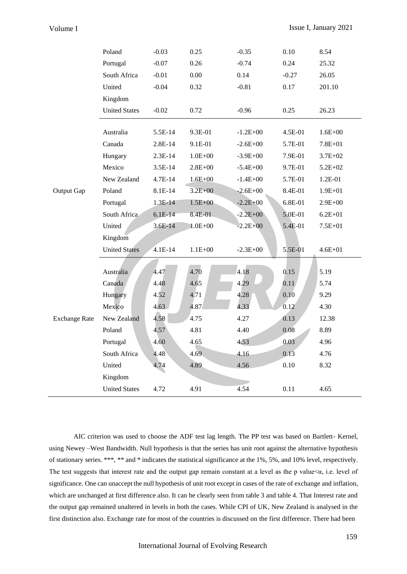|                      | Poland               | $-0.03$   | 0.25        | $-0.35$      | 0.10    | 8.54        |
|----------------------|----------------------|-----------|-------------|--------------|---------|-------------|
|                      | Portugal             | $-0.07$   | 0.26        | $-0.74$      | 0.24    | 25.32       |
|                      | South Africa         | $-0.01$   | 0.00        | 0.14         | $-0.27$ | 26.05       |
|                      | United               | $-0.04$   | 0.32        | $-0.81$      | 0.17    | 201.10      |
|                      | Kingdom              |           |             |              |         |             |
|                      | <b>United States</b> | $-0.02$   | 0.72        | $-0.96$      | 0.25    | 26.23       |
|                      |                      |           |             |              |         |             |
|                      | Australia            | 5.5E-14   | 9.3E-01     | $-1.2E + 00$ | 4.5E-01 | $1.6E + 00$ |
|                      | Canada               | 2.8E-14   | 9.1E-01     | $-2.6E + 00$ | 5.7E-01 | 7.8E+01     |
|                      | Hungary              | $2.3E-14$ | $1.0E + 00$ | $-3.9E + 00$ | 7.9E-01 | $3.7E + 02$ |
|                      | Mexico               | 3.5E-14   | $2.8E + 00$ | $-5.4E + 00$ | 9.7E-01 | $5.2E + 02$ |
|                      | New Zealand          | 4.7E-14   | $1.6E + 00$ | $-1.4E + 00$ | 5.7E-01 | 1.2E-01     |
| Output Gap           | Poland               | 8.1E-14   | $3.2E + 00$ | $-2.6E + 00$ | 8.4E-01 | $1.9E + 01$ |
|                      | Portugal             | 1.3E-14   | $1.5E + 00$ | $-2.2E + 00$ | 6.8E-01 | $2.9E + 00$ |
|                      | South Africa         | $6.1E-14$ | 8.4E-01     | $-2.2E + 00$ | 5.0E-01 | $6.2E + 01$ |
|                      | United               | $3.6E-14$ | 1.0E+00     | $-2.2E + 00$ | 5.4E-01 | $7.5E + 01$ |
|                      | Kingdom              |           |             |              |         |             |
|                      | <b>United States</b> | $4.1E-14$ | $1.1E + 00$ | $-2.3E + 00$ | 5.5E-01 | $4.6E + 01$ |
|                      |                      |           |             |              |         |             |
|                      | Australia            | 4.47      | 4.70        | 4.18         | 0.15    | 5.19        |
|                      | Canada               | 4.48      | 4.65        | 4.29         | 0.11    | 5.74        |
|                      | Hungary              | 4.52      | 4.71        | 4.28         | 0.10    | 9.29        |
|                      | Mexico               | 4.63      | 4.87        | 4.33         | 0.12    | 4.30        |
| <b>Exchange Rate</b> | New Zealand          | 4.58      | 4.75        | 4.27         | 0.13    | 12.38       |
|                      | Poland               | 4.57      | 4.81        | 4.40         | 0.08    | 8.89        |
|                      | Portugal             | 4.60      | 4.65        | 4.53         | 0.03    | 4.96        |
|                      | South Africa         | 4.48      | 4.69        | 4.16         | 0.13    | 4.76        |
|                      | United               | 4.74      | 4.89        | 4.56         | 0.10    | 8.32        |
|                      | Kingdom              |           |             |              |         |             |
|                      | <b>United States</b> | 4.72      | 4.91        | 4.54         | 0.11    | 4.65        |

AIC criterion was used to choose the ADF test lag length. The PP test was based on Bartlett- Kernel, using Newey –West Bandwidth. Null hypothesis is that the series has unit root against the alternative hypothesis of stationary series. \*\*\*, \*\* and \* indicates the statistical significance at the 1%, 5%, and 10% level, respectively. The test suggests that interest rate and the output gap remain constant at a level as the p value $\lt \alpha$ , i.e. level of significance. One can unaccept the null hypothesis of unit root except in cases of the rate of exchange and inflation, which are unchanged at first difference also. It can be clearly seen from table 3 and table 4. That Interest rate and the output gap remained unaltered in levels in both the cases. While CPI of UK, New Zealand is analysed in the first distinction also. Exchange rate for most of the countries is discussed on the first difference. There had been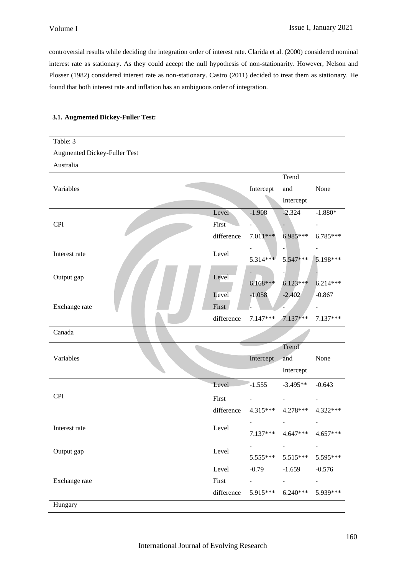controversial results while deciding the integration order of interest rate. Clarida et al. (2000) considered nominal interest rate as stationary. As they could accept the null hypothesis of non-stationarity. However, Nelson and Plosser (1982) considered interest rate as non-stationary. Castro (2011) decided to treat them as stationary. He found that both interest rate and inflation has an ambiguous order of integration.

## **3.1. Augmented Dickey-Fuller Test:**

| Table: 3                     |            |            |            |            |
|------------------------------|------------|------------|------------|------------|
| Augmented Dickey-Fuller Test |            |            |            |            |
| Australia                    |            |            |            |            |
|                              |            |            | Trend      |            |
| Variables                    |            | Intercept  | and        | None       |
|                              |            |            | Intercept  |            |
|                              | Level      | $-1.908$   | $-2.324$   | $-1.880*$  |
| <b>CPI</b>                   | First      |            |            |            |
|                              | difference | 7.011***   | 6.985***   | 6.785***   |
| Interest rate                | Level      |            |            |            |
|                              |            | 5.314***   | 5.547***   | 5.198***   |
| Output gap                   | Level      |            |            |            |
|                              |            | $6.168***$ | $6.123***$ | $6.214***$ |
|                              | Level      | $-1.058$   | $-2.402$   | $-0.867$   |
| Exchange rate                | First      |            |            |            |
|                              | difference | 7.147***   | 7.137***   | 7.137***   |
|                              |            |            |            |            |
| Canada                       |            |            |            |            |
|                              |            |            | Trend      |            |
| Variables                    |            | Intercept  | and        | None       |
|                              |            |            | Intercept  |            |
|                              | Level      | $-1.555$   | $-3.495**$ | $-0.643$   |
| <b>CPI</b>                   | First      |            |            |            |
|                              | difference | $4.315***$ | 4.278***   | 4.322***   |
|                              |            |            |            |            |
| Interest rate                | Level      | $7.137***$ | 4.647***   | 4.657***   |
|                              |            |            |            |            |
| Output gap                   | Level      | $5.555***$ | $5.515***$ | 5.595***   |
|                              | Level      | $-0.79$    | $-1.659$   | $-0.576$   |
| Exchange rate                | First      |            |            |            |
|                              | difference | 5.915***   | $6.240***$ | 5.939***   |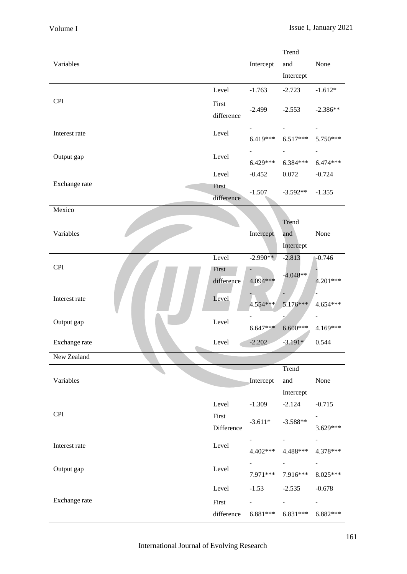|               |            |            | Trend          |                          |
|---------------|------------|------------|----------------|--------------------------|
| Variables     |            | Intercept  | and            | None                     |
|               |            |            | Intercept      |                          |
|               |            |            |                |                          |
|               | Level      | $-1.763$   | $-2.723$       | $-1.612*$                |
| <b>CPI</b>    | First      |            |                |                          |
|               | difference | $-2.499$   | $-2.553$       | $-2.386**$               |
|               |            |            |                |                          |
| Interest rate | Level      | $6.419***$ | $6.517***$     | 5.750***                 |
|               |            |            |                |                          |
| Output gap    | Level      |            | $\blacksquare$ |                          |
|               |            | $6.429***$ | $6.384***$     | $6.474***$               |
|               | Level      | $-0.452$   | 0.072          | $-0.724$                 |
| Exchange rate | First      |            |                |                          |
|               | difference | $-1.507$   | $-3.592**$     | $-1.355$                 |
| Mexico        |            |            |                |                          |
|               |            |            | Trend          |                          |
|               |            |            |                |                          |
| Variables     |            | Intercept  | and            | None                     |
|               |            |            | Intercept      |                          |
|               | Level      | $-2.990**$ | $-2.813$       | $-0.746$                 |
| <b>CPI</b>    | First      |            |                |                          |
|               | difference | 4.094***   | $-4.048**$     | 4.201***                 |
|               |            |            |                |                          |
| Interest rate | Level      | 4.554 ***  | $5.176***$     | 4.654***                 |
|               |            |            |                |                          |
| Output gap    | Level      |            |                |                          |
|               |            | $6.647***$ | $6.600***$     | 4.169***                 |
| Exchange rate | Level      | $-2.202$   | $-3.191*$      | 0.544                    |
| New Zealand   |            |            |                |                          |
|               |            |            |                |                          |
|               |            |            | Trend          |                          |
| Variables     |            | Intercept  | and            | None                     |
|               |            |            | Intercept      |                          |
|               | Level      | $-1.309$   | $-2.124$       | $-0.715$                 |
| <b>CPI</b>    | First      |            |                |                          |
|               | Difference | $-3.611*$  | $-3.588**$     | 3.629***                 |
|               |            |            |                |                          |
| Interest rate | Level      |            |                |                          |
|               |            | 4.402***   | 4.488***       | 4.378***                 |
| Output gap    | Level      |            |                | $\overline{\phantom{a}}$ |
|               |            | 7.971***   | 7.916***       | 8.025***                 |
|               | Level      | $-1.53$    | $-2.535$       | $-0.678$                 |
| Exchange rate |            |            |                |                          |
|               | First      |            |                |                          |
|               | difference | $6.881***$ | $6.831***$     | 6.882***                 |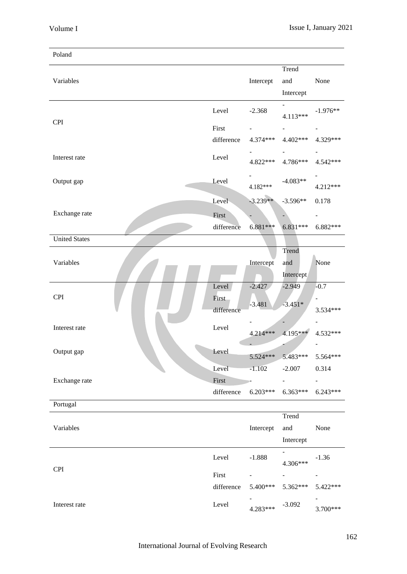| Poland               |                              |                      |                           |                          |
|----------------------|------------------------------|----------------------|---------------------------|--------------------------|
| Variables            |                              | Intercept            | Trend<br>and<br>Intercept | None                     |
|                      | Level                        | $-2.368$             | $4.113***$                | $-1.976**$               |
| <b>CPI</b>           | First                        |                      |                           |                          |
|                      | difference                   | 4.374***             | $4.402***$                | 4.329***                 |
| Interest rate        | Level                        | 4.822***             | 4.786***                  | 4.542***                 |
| Output gap           | Level                        | 4.182***             | $-4.083**$                | 4.212***                 |
|                      | Level                        | $-3.239**$           | $-3.596**$                | 0.178                    |
| Exchange rate        | First                        |                      |                           | $\overline{\phantom{a}}$ |
|                      | difference                   | $6.881***$           | $6.831***$                | $6.882***$               |
| <b>United States</b> |                              |                      |                           |                          |
| Variables            |                              | Intercept            | Trend<br>and<br>Intercept | None                     |
| <b>CPI</b>           | Level<br>First<br>difference | $-2.427$<br>$-3.481$ | $-2.949$<br>$-3.451*$     | $-0.7$<br>3.534***       |
| Interest rate        | Level                        | 4.214***             | 4.195***                  | 4.532***                 |
| Output gap           | Level                        |                      | 5.524*** 5.483***         | 5.564***                 |
|                      | Level                        | $-1.102$             | $-2.007$                  | 0.314                    |
| Exchange rate        | First                        |                      |                           |                          |
|                      | difference                   | $6.203***$           | $6.363***$                | $6.243***$               |
| Portugal             |                              |                      |                           |                          |
| Variables            |                              | Intercept            | Trend<br>and<br>Intercept | None                     |
| <b>CPI</b>           | Level                        | $-1.888$             | 4.306***                  | $-1.36$                  |
|                      | First                        |                      |                           |                          |
|                      | difference                   | 5.400***             | 5.362***                  | 5.422***                 |
| Interest rate        | Level                        | 4.283***             | $-3.092$                  | 3.700***                 |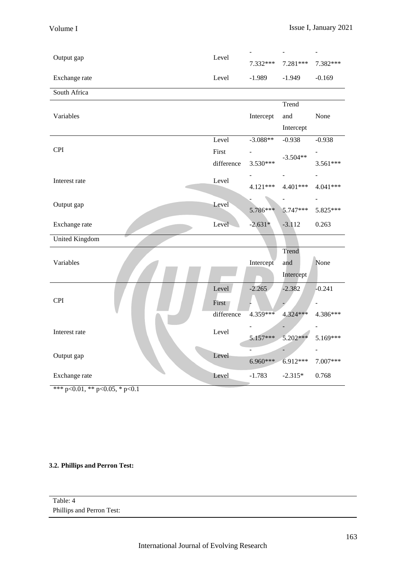| Level<br>$-1.989$<br>$-1.949$<br>$-0.169$<br>Exchange rate<br>South Africa<br>Trend<br>Variables<br>None<br>Intercept<br>and<br>Intercept<br>Level<br>$-3.088**$<br>$-0.938$<br>$-0.938$<br><b>CPI</b><br>First<br>$-3.504**$<br>3.530***<br>difference<br>3.561***<br>Level<br>Interest rate<br>4.121***<br>4.401***<br>4.041***<br>Level<br>Output gap<br>5.786***<br>5.747***<br>5.825***<br>Level<br>$-2.631*$<br>$-3.112$<br>0.263<br>Exchange rate<br><b>United Kingdom</b><br>Trend<br>None<br>Variables<br>Intercept<br>and<br>Intercept<br>Level<br>$-2.265$<br>$-2.382$<br>$-0.241$<br><b>CPI</b><br>First<br>difference<br>4.359***<br>4.324***<br>4.386***<br>Level<br>Interest rate<br>5.157***<br>$5.202***$<br>5.169***<br>Level | Output gap | Level | 7.332*** | $7.281***$ | 7.382*** |
|-------------------------------------------------------------------------------------------------------------------------------------------------------------------------------------------------------------------------------------------------------------------------------------------------------------------------------------------------------------------------------------------------------------------------------------------------------------------------------------------------------------------------------------------------------------------------------------------------------------------------------------------------------------------------------------------------------------------------------------------------|------------|-------|----------|------------|----------|
|                                                                                                                                                                                                                                                                                                                                                                                                                                                                                                                                                                                                                                                                                                                                                 |            |       |          |            |          |
|                                                                                                                                                                                                                                                                                                                                                                                                                                                                                                                                                                                                                                                                                                                                                 |            |       |          |            |          |
|                                                                                                                                                                                                                                                                                                                                                                                                                                                                                                                                                                                                                                                                                                                                                 |            |       |          |            |          |
|                                                                                                                                                                                                                                                                                                                                                                                                                                                                                                                                                                                                                                                                                                                                                 |            |       |          |            |          |
|                                                                                                                                                                                                                                                                                                                                                                                                                                                                                                                                                                                                                                                                                                                                                 |            |       |          |            |          |
|                                                                                                                                                                                                                                                                                                                                                                                                                                                                                                                                                                                                                                                                                                                                                 |            |       |          |            |          |
|                                                                                                                                                                                                                                                                                                                                                                                                                                                                                                                                                                                                                                                                                                                                                 |            |       |          |            |          |
|                                                                                                                                                                                                                                                                                                                                                                                                                                                                                                                                                                                                                                                                                                                                                 |            |       |          |            |          |
|                                                                                                                                                                                                                                                                                                                                                                                                                                                                                                                                                                                                                                                                                                                                                 |            |       |          |            |          |
|                                                                                                                                                                                                                                                                                                                                                                                                                                                                                                                                                                                                                                                                                                                                                 |            |       |          |            |          |
|                                                                                                                                                                                                                                                                                                                                                                                                                                                                                                                                                                                                                                                                                                                                                 |            |       |          |            |          |
|                                                                                                                                                                                                                                                                                                                                                                                                                                                                                                                                                                                                                                                                                                                                                 |            |       |          |            |          |
|                                                                                                                                                                                                                                                                                                                                                                                                                                                                                                                                                                                                                                                                                                                                                 |            |       |          |            |          |
|                                                                                                                                                                                                                                                                                                                                                                                                                                                                                                                                                                                                                                                                                                                                                 |            |       |          |            |          |
|                                                                                                                                                                                                                                                                                                                                                                                                                                                                                                                                                                                                                                                                                                                                                 |            |       |          |            |          |
|                                                                                                                                                                                                                                                                                                                                                                                                                                                                                                                                                                                                                                                                                                                                                 |            |       |          |            |          |
|                                                                                                                                                                                                                                                                                                                                                                                                                                                                                                                                                                                                                                                                                                                                                 |            |       |          |            |          |
|                                                                                                                                                                                                                                                                                                                                                                                                                                                                                                                                                                                                                                                                                                                                                 |            |       |          |            |          |
|                                                                                                                                                                                                                                                                                                                                                                                                                                                                                                                                                                                                                                                                                                                                                 |            |       |          |            |          |
|                                                                                                                                                                                                                                                                                                                                                                                                                                                                                                                                                                                                                                                                                                                                                 |            |       |          |            |          |
|                                                                                                                                                                                                                                                                                                                                                                                                                                                                                                                                                                                                                                                                                                                                                 |            |       |          |            |          |
|                                                                                                                                                                                                                                                                                                                                                                                                                                                                                                                                                                                                                                                                                                                                                 |            |       |          |            |          |
|                                                                                                                                                                                                                                                                                                                                                                                                                                                                                                                                                                                                                                                                                                                                                 |            |       |          |            |          |
| $6.960***$<br>6.912***<br>7.007***                                                                                                                                                                                                                                                                                                                                                                                                                                                                                                                                                                                                                                                                                                              | Output gap |       |          |            |          |
| $-1.783$<br>$-2.315*$<br>0.768<br>Exchange rate<br>Level                                                                                                                                                                                                                                                                                                                                                                                                                                                                                                                                                                                                                                                                                        |            |       |          |            |          |

\*\*\* p<0.01, \*\* p<0.05, \* p<0.1

## **3.2. Phillips and Perron Test:**

| Table: 4                  |  |  |
|---------------------------|--|--|
| Phillips and Perron Test: |  |  |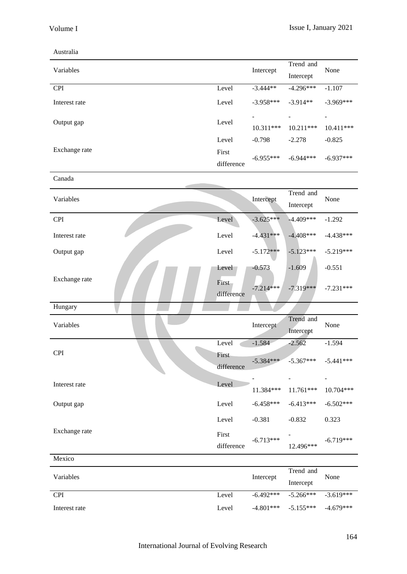## Australia

Mexico

| Variables     |            | Intercept      | Trend and                | None                     |
|---------------|------------|----------------|--------------------------|--------------------------|
|               |            |                | Intercept                |                          |
| <b>CPI</b>    | Level      | $-3.444**$     | $-4.296***$              | $-1.107$                 |
| Interest rate | Level      | $-3.958***$    | $-3.914**$               | $-3.969***$              |
|               | Level      | $\blacksquare$ | $\overline{\phantom{a}}$ | $\overline{\phantom{a}}$ |
| Output gap    |            | $10.311***$    | $10.211***$              | $10.411***$              |
|               | Level      | $-0.798$       | $-2.278$                 | $-0.825$                 |
| Exchange rate | First      |                | $-6.944***$              |                          |
|               | difference | $-6.955***$    |                          | $-6.937***$              |
| Canada        |            |                |                          |                          |
|               |            |                |                          |                          |

| Variables     |                     | Intercept   | Trend and<br>Intercept | None        |
|---------------|---------------------|-------------|------------------------|-------------|
| <b>CPI</b>    | Level               | $-3.625***$ | $-4.409***$            | $-1.292$    |
| Interest rate | Level               | $-4.431***$ | $-4.408***$            | $-4.438***$ |
| Output gap    | Level               | $-5.172***$ | $-5.123***$            | $-5.219***$ |
|               | Level               | $-0.573$    | $-1.609$               | $-0.551$    |
| Exchange rate | First<br>difference | $-7.214***$ | $-7.319***$            | $-7.231***$ |
| Hungary       |                     |             |                        |             |
| Variables     |                     | Intercept   | Trend and<br>Intercept | None        |
|               | Level               | $-1.584$    | $-2.562$               | $-1.594$    |
| <b>CPI</b>    | First<br>difference | $-5.384***$ | $-5.367***$            | $-5.441***$ |
| Interest rate | Level               | 11.384***   | 11.761***              | 10.704***   |
| Output gap    | Level               | $-6.458***$ | $-6.413***$            | $-6.502***$ |
|               | Level               | $-0.381$    | $-0.832$               | 0.323       |
| Exchange rate | First<br>difference | $-6.713***$ | 12.496***              | $-6.719***$ |

| Variables     |       | Intercept | Trend and<br>Intercept              | None |
|---------------|-------|-----------|-------------------------------------|------|
| <b>CPI</b>    | Level |           | $-6.492***$ $-5.266***$ $-3.619***$ |      |
| Interest rate | Level |           | $-4.801***$ $-5.155***$ $-4.679***$ |      |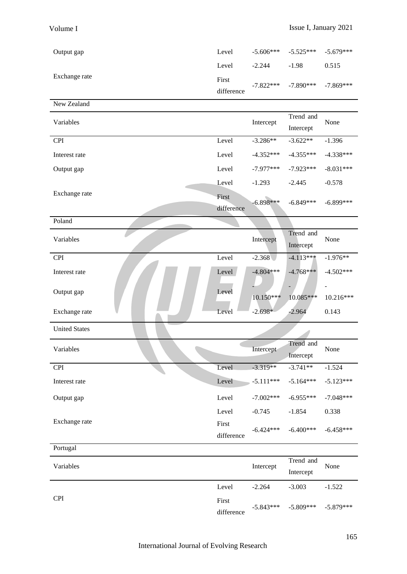| Output gap    | Level      | $-5.606***$ $-5.525***$ $-5.679***$ |                                     |       |
|---------------|------------|-------------------------------------|-------------------------------------|-------|
|               | Level      | $-2.244$                            | $-1.98$                             | 0.515 |
| Exchange rate | First      |                                     | $-7.822***$ $-7.890***$ $-7.869***$ |       |
|               | difference |                                     |                                     |       |

| New Zealand          |            |             |             |                |  |
|----------------------|------------|-------------|-------------|----------------|--|
| Variables            |            | Intercept   | Trend and   | None           |  |
|                      |            |             | Intercept   |                |  |
| <b>CPI</b>           | Level      | $-3.286**$  | $-3.622**$  | $-1.396$       |  |
| Interest rate        | Level      | $-4.352***$ | $-4.355***$ | $-4.338***$    |  |
| Output gap           | Level      | $-7.977***$ | $-7.923***$ | $-8.031***$    |  |
|                      | Level      | $-1.293$    | $-2.445$    | $-0.578$       |  |
| Exchange rate        | First      | $-6.898***$ | $-6.849***$ | $-6.899***$    |  |
|                      | difference |             |             |                |  |
| Poland               |            |             |             |                |  |
| Variables            |            | Intercept   |             | None           |  |
|                      |            |             | Intercept   |                |  |
| <b>CPI</b>           | Level      | $-2.368$    | $-4.113***$ | $-1.976**$     |  |
| Interest rate        | Level      | $-4.804***$ | $-4.768***$ | $-4.502***$    |  |
| Output gap           | Level      |             |             | $\blacksquare$ |  |
|                      |            | $10.150***$ | 10.085***   | 10.216***      |  |
| Exchange rate        | Level      | $-2.698*$   | $-2.964$    | 0.143          |  |
| <b>United States</b> |            |             |             |                |  |

| Variables     |  |  |            | Intercept   | Trend and<br>Intercept | None        |
|---------------|--|--|------------|-------------|------------------------|-------------|
| <b>CPI</b>    |  |  | Level      | $-3.319**$  | $-3.741**$             | $-1.524$    |
| Interest rate |  |  | Level      | $-5.111***$ | $-5.164***$            | $-5.123***$ |
| Output gap    |  |  | Level      | $-7.002***$ | $-6.955***$            | $-7.048***$ |
|               |  |  | Level      | $-0.745$    | $-1.854$               | 0.338       |
| Exchange rate |  |  | First      | $-6.424***$ | $-6.400***$            | $-6.458***$ |
|               |  |  | difference |             |                        |             |

| Portugal   |            |           |                                     |          |  |
|------------|------------|-----------|-------------------------------------|----------|--|
| Variables  |            | Intercept | Trend and                           | None     |  |
|            |            |           | Intercept                           |          |  |
|            | Level      | $-2.264$  | $-3.003$                            | $-1.522$ |  |
| <b>CPI</b> | First      |           |                                     |          |  |
|            | difference |           | $-5.843***$ $-5.809***$ $-5.879***$ |          |  |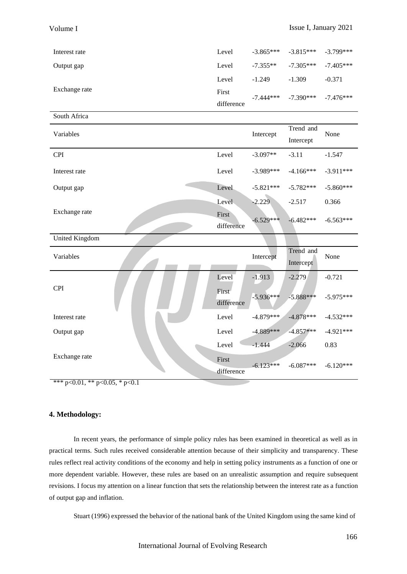| Interest rate | Level      |          | $-3.865***$ $-3.815***$ $-3.799***$ |          |
|---------------|------------|----------|-------------------------------------|----------|
| Output gap    | Level      |          | $-7.355***$ $-7.305***$ $-7.405***$ |          |
|               | Level      | $-1.249$ | $-1.309$                            | $-0.371$ |
| Exchange rate | First      |          | $-7.444***$ $-7.390***$ $-7.476***$ |          |
|               | difference |          |                                     |          |

| South Africa          |                     |             |                        |             |
|-----------------------|---------------------|-------------|------------------------|-------------|
| Variables             |                     | Intercept   | Trend and<br>Intercept | None        |
| <b>CPI</b>            | Level               | $-3.097**$  | $-3.11$                | $-1.547$    |
| Interest rate         | Level               | $-3.989***$ | $-4.166***$            | $-3.911***$ |
| Output gap            | Level               | $-5.821***$ | $-5.782***$            | $-5.860***$ |
|                       | Level               | $-2.229$    | $-2.517$               | 0.366       |
| Exchange rate         | First<br>difference | $-6.529***$ | $-6.482***$            | $-6.563***$ |
| <b>United Kingdom</b> |                     |             |                        |             |
| Variables             |                     | Intercept   | Trend and              | None        |
|                       |                     |             | Intercept              |             |
|                       | Level               | $-1.913$    | $-2.279$               | $-0.721$    |
| <b>CPI</b>            | First<br>difference | $-5.936***$ | $-5.888***$            | $-5.975***$ |
| Interest rate         | Level               | $-4.879***$ | $-4.878***$            | $-4.532***$ |
| Output gap            | Level               | $-4.889***$ | $-4.857***$            | $-4.921***$ |
|                       | Level               | $-1.444$    | $-2.066$               | 0.83        |

\*\*\* p<0.01, \*\* p<0.05, \* p<0.1

#### **4. Methodology:**

In recent years, the performance of simple policy rules has been examined in theoretical as well as in practical terms. Such rules received considerable attention because of their simplicity and transparency. These rules reflect real activity conditions of the economy and help in setting policy instruments as a function of one or more dependent variable. However, these rules are based on an unrealistic assumption and require subsequent revisions. I focus my attention on a linear function that sets the relationship between the interest rate as a function of output gap and inflation.

Stuart (1996) expressed the behavior of the national bank of the United Kingdom using the same kind of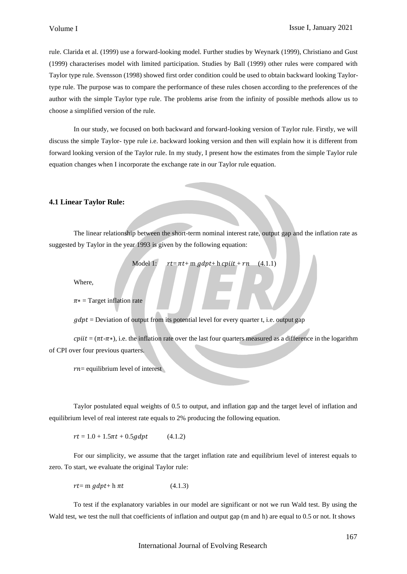rule. Clarida et al. (1999) use a forward-looking model. Further studies by Weynark (1999), Christiano and Gust (1999) characterises model with limited participation. Studies by Ball (1999) other rules were compared with Taylor type rule. Svensson (1998) showed first order condition could be used to obtain backward looking Taylortype rule. The purpose was to compare the performance of these rules chosen according to the preferences of the author with the simple Taylor type rule. The problems arise from the infinity of possible methods allow us to choose a simplified version of the rule.

In our study, we focused on both backward and forward-looking version of Taylor rule. Firstly, we will discuss the simple Taylor- type rule i.e. backward looking version and then will explain how it is different from forward looking version of the Taylor rule. In my study, I present how the estimates from the simple Taylor rule equation changes when I incorporate the exchange rate in our Taylor rule equation.

## **4.1 Linear Taylor Rule:**

The linear relationship between the short-term nominal interest rate, output gap and the inflation rate as suggested by Taylor in the year 1993 is given by the following equation:

$$
Model 1: r t = \pi t + m g dp t + h c pi t + rn (4.1.1)
$$

Where,

 $\pi$  = Target inflation rate

 $q$ dpt = Deviation of output from its potential level for every quarter t, i.e. output gap

 $c$ *cpiit* = ( $\pi t$ - $\pi$ \*), i.e. the inflation rate over the last four quarters measured as a difference in the logarithm of CPI over four previous quarters.

 $rn =$  equilibrium level of interest

Taylor postulated equal weights of 0.5 to output, and inflation gap and the target level of inflation and equilibrium level of real interest rate equals to 2% producing the following equation.

 $rt = 1.0 + 1.5 \pi t + 0.5$  *adpt* (4.1.2)

For our simplicity, we assume that the target inflation rate and equilibrium level of interest equals to zero. To start, we evaluate the original Taylor rule:

 $rt = m \, gdpt + h \, \pi t$  (4.1.3)

To test if the explanatory variables in our model are significant or not we run Wald test. By using the Wald test, we test the null that coefficients of inflation and output gap (m and h) are equal to 0.5 or not. It shows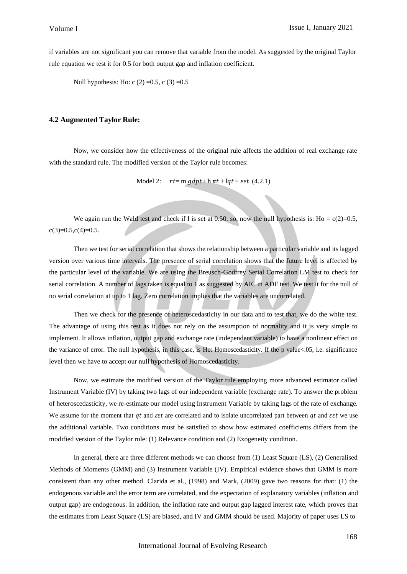if variables are not significant you can remove that variable from the model. As suggested by the original Taylor rule equation we test it for 0.5 for both output gap and inflation coefficient.

Null hypothesis: Ho: c  $(2) = 0.5$ , c  $(3) = 0.5$ 

#### **4.2 Augmented Taylor Rule:**

Now, we consider how the effectiveness of the original rule affects the addition of real exchange rate with the standard rule. The modified version of the Taylor rule becomes:

Model 2:  $rt = m gdpt + h \pi t + lqt + \epsilon \epsilon t$  (4.2.1)

We again run the Wald test and check if l is set at 0.50, so, now the null hypothesis is:  $Ho = c(2)=0.5$ ,  $c(3)=0.5,c(4)=0.5.$ 

Then we test for serial correlation that shows the relationship between a particular variable and its lagged version over various time intervals. The presence of serial correlation shows that the future level is affected by the particular level of the variable. We are using the Breusch-Godfrey Serial Correlation LM test to check for serial correlation. A number of lags taken is equal to 1 as suggested by AIC in ADF test. We test it for the null of no serial correlation at up to 1 lag. Zero correlation implies that the variables are uncorrelated.

Then we check for the presence of heteroscedasticity in our data and to test that, we do the white test. The advantage of using this test as it does not rely on the assumption of normality and it is very simple to implement. It allows inflation, output gap and exchange rate (independent variable) to have a nonlinear effect on the variance of error. The null hypothesis, in this case, is Ho: Homoscedasticity. If the p value<.05, i.e. significance level then we have to accept our null hypothesis of Homoscedasticity.

Now, we estimate the modified version of the Taylor rule employing more advanced estimator called Instrument Variable (IV) by taking two lags of our independent variable (exchange rate). To answer the problem of heteroscedasticity, we re-estimate our model using Instrument Variable by taking lags of the rate of exchange. We assume for the moment that  $qt$  and  $\epsilon \epsilon t$  are correlated and to isolate uncorrelated part between  $qt$  and  $\epsilon \epsilon t$  we use the additional variable. Two conditions must be satisfied to show how estimated coefficients differs from the modified version of the Taylor rule: (1) Relevance condition and (2) Exogeneity condition.

In general, there are three different methods we can choose from (1) Least Square (LS), (2) Generalised Methods of Moments (GMM) and (3) Instrument Variable (IV). Empirical evidence shows that GMM is more consistent than any other method. Clarida et al., (1998) and Mark, (2009) gave two reasons for that: (1) the endogenous variable and the error term are correlated, and the expectation of explanatory variables (inflation and output gap) are endogenous. In addition, the inflation rate and output gap lagged interest rate, which proves that the estimates from Least Square (LS) are biased, and IV and GMM should be used. Majority of paper uses LS to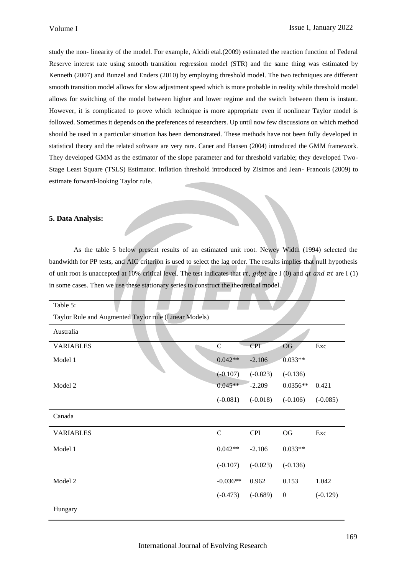study the non- linearity of the model. For example, Alcidi etal.(2009) estimated the reaction function of Federal Reserve interest rate using smooth transition regression model (STR) and the same thing was estimated by Kenneth (2007) and Bunzel and Enders (2010) by employing threshold model. The two techniques are different smooth transition model allows for slow adjustment speed which is more probable in reality while threshold model allows for switching of the model between higher and lower regime and the switch between them is instant. However, it is complicated to prove which technique is more appropriate even if nonlinear Taylor model is followed. Sometimes it depends on the preferences of researchers. Up until now few discussions on which method should be used in a particular situation has been demonstrated. These methods have not been fully developed in statistical theory and the related software are very rare. Caner and Hansen (2004) introduced the GMM framework. They developed GMM as the estimator of the slope parameter and for threshold variable; they developed Two-Stage Least Square (TSLS) Estimator. Inflation threshold introduced by Zisimos and Jean- Francois (2009) to estimate forward-looking Taylor rule.

## **5. Data Analysis:**

As the table 5 below present results of an estimated unit root. Newey Width (1994) selected the bandwidth for PP tests, and AIC criterion is used to select the lag order. The results implies that null hypothesis of unit root is unaccepted at 10% critical level. The test indicates that rt, gdpt are I (0) and qt and  $\pi t$  are I (1) in some cases. Then we use these stationary series to construct the theoretical model.

Table 5: Taylor Rule and Augmented Taylor rule (Linear Models) Australia VARIABLES C CPI OG Exc Model 1 0.042<sup>\*\*</sup> -2.106 0.033<sup>\*\*</sup>  $(-0.107)$   $(-0.023)$   $(-0.136)$ Model 2 0.045<sup>\*\*</sup> -2.209 0.0356<sup>\*\*</sup> 0.421 (-0.081) (-0.018) (-0.106) (-0.085) Canada VARIABLES C CPI OG Exc Model 1  $0.042**$  -2.106  $0.033**$ (-0.107) (-0.023) (-0.136) Model 2  $-0.036**$  0.962 0.153 1.042 (-0.473) (-0.689) 0 (-0.129) Hungary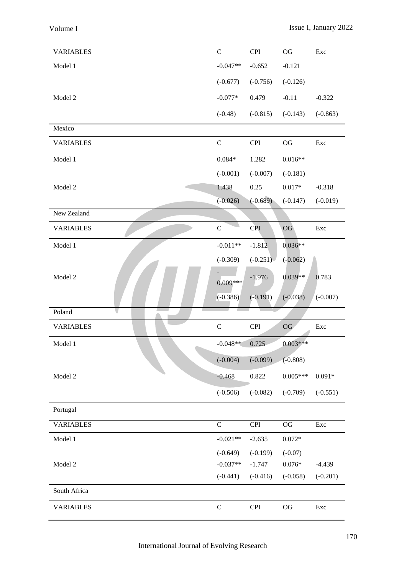| <b>VARIABLES</b> | $\mathcal{C}$ | <b>CPI</b>     | $\rm OG$   | Exc        |
|------------------|---------------|----------------|------------|------------|
| Model 1          | $-0.047**$    | $-0.652$       | $-0.121$   |            |
|                  | $(-0.677)$    | $(-0.756)$     | $(-0.126)$ |            |
| Model 2          | $-0.077*$     | 0.479          | $-0.11$    | $-0.322$   |
|                  | $(-0.48)$     | $(-0.815)$     | $(-0.143)$ | $(-0.863)$ |
| Mexico           |               |                |            |            |
| <b>VARIABLES</b> | $\mathbf C$   | CPI            | $\rm OG$   | Exc        |
| Model 1          | $0.084*$      | 1.282          | $0.016**$  |            |
|                  | $(-0.001)$    | $(-0.007)$     | $(-0.181)$ |            |
| Model 2          | 1.438         | 0.25           | $0.017*$   | $-0.318$   |
|                  | $(-0.026)$    | $(-0.689)$     | $(-0.147)$ | $(-0.019)$ |
| New Zealand      |               |                |            |            |
| <b>VARIABLES</b> | $\mathsf C$   | <b>CPI</b>     | OG         | Exc        |
| Model 1          | $-0.011**$    | $-1.812$       | $0.036**$  |            |
|                  | $(-0.309)$    | $(-0.251)$     | $(-0.062)$ |            |
| Model 2          | $0.009***$    | $-1.976$       | $0.039**$  | 0.783      |
|                  | $(-0.386)$    | $(-0.191)$     | $(-0.038)$ | $(-0.007)$ |
| Poland           |               |                |            |            |
| <b>VARIABLES</b> | $\mathcal{C}$ | <b>CPI</b>     | OG         | Exc        |
| Model 1          | $-0.048**$    | 0.725          | $0.003***$ |            |
|                  | $(-0.004)$    | $(-0.099)$     | $(-0.808)$ |            |
| Model 2          | $-0.468$      | 0.822          | $0.005***$ | $0.091*$   |
|                  | $(-0.506)$    | $(-0.082)$     | $(-0.709)$ | $(-0.551)$ |
| Portugal         |               |                |            |            |
| <b>VARIABLES</b> | $\mathcal{C}$ | $\mathbf{CPI}$ | $\rm OG$   | Exc        |
| Model 1          | $-0.021**$    | $-2.635$       | $0.072*$   |            |
|                  | $(-0.649)$    | $(-0.199)$     | $(-0.07)$  |            |
| Model 2          | $-0.037**$    | $-1.747$       | $0.076*$   | $-4.439$   |
|                  | $(-0.441)$    | $(-0.416)$     | $(-0.058)$ | $(-0.201)$ |
| South Africa     |               |                |            |            |
| <b>VARIABLES</b> | $\mathsf C$   | <b>CPI</b>     | $\rm OG$   | Exc        |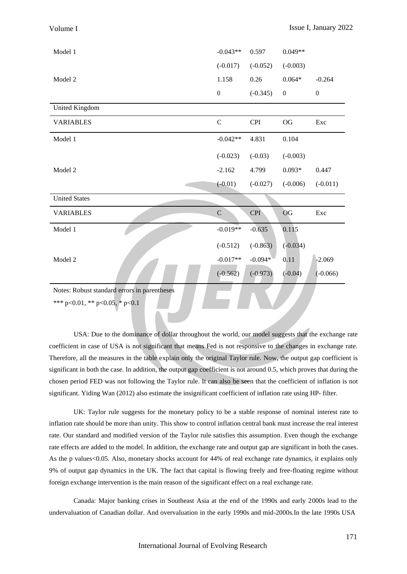| Model 1              | $-0.043**$       | 0.597      | $0.049**$        |                  |
|----------------------|------------------|------------|------------------|------------------|
|                      | $(-0.017)$       | $(-0.052)$ | $(-0.003)$       |                  |
| Model 2              | 1.158            | 0.26       | $0.064*$         | $-0.264$         |
|                      | $\boldsymbol{0}$ | $(-0.345)$ | $\boldsymbol{0}$ | $\boldsymbol{0}$ |
| United Kingdom       |                  |            |                  |                  |
| <b>VARIABLES</b>     | $\mathbf C$      | <b>CPI</b> | $\rm OG$         | Exc              |
| Model 1              | $-0.042**$       | 4.831      | 0.104            |                  |
|                      | $(-0.023)$       | $(-0.03)$  | $(-0.003)$       |                  |
| Model 2              | $-2.162$         | 4.799      | $0.093*$         | 0.447            |
|                      | $(-0.01)$        | $(-0.027)$ | $(-0.006)$       | $(-0.011)$       |
| <b>United States</b> |                  |            |                  |                  |
| <b>VARIABLES</b>     | $\mathbf C$      | <b>CPI</b> | OG               | Exc              |
| Model 1              | $-0.019**$       | $-0.635$   | 0.115            |                  |
|                      | $(-0.512)$       | $(-0.863)$ | $(-0.034)$       |                  |
| Model 2              | $-0.017**$       | $-0.094*$  | 0.11             | $-2.069$         |
|                      | $(-0.562)$       | $(-0.973)$ | $(-0.04)$        | $(-0.066)$       |

Notes: Robust standard errors in parentheses

\*\*\* p<0.01, \*\* p<0.05, \* p<0.1

USA: Due to the dominance of dollar throughout the world, our model suggests that the exchange rate coefficient in case of USA is not significant that means Fed is not responsive to the changes in exchange rate. Therefore, all the measures in the table explain only the original Taylor rule. Now, the output gap coefficient is significant in both the case. In addition, the output gap coefficient is not around 0.5, which proves that during the chosen period FED was not following the Taylor rule. It can also be seen that the coefficient of inflation is not significant. Yiding Wan (2012) also estimate the insignificant coefficient of inflation rate using HP- filter.

TINY A

UK: Taylor rule suggests for the monetary policy to be a stable response of nominal interest rate to inflation rate should be more than unity. This show to control inflation central bank must increase the real interest rate. Our standard and modified version of the Taylor rule satisfies this assumption. Even though the exchange rate effects are added to the model. In addition, the exchange rate and output gap are significant in both the cases. As the p values<0.05. Also, monetary shocks account for 44% of real exchange rate dynamics, it explains only 9% of output gap dynamics in the UK. The fact that capital is flowing freely and free-floating regime without foreign exchange intervention is the main reason of the significant effect on a real exchange rate.

Canada: Major banking crises in Southeast Asia at the end of the 1990s and early 2000s lead to the undervaluation of Canadian dollar. And overvaluation in the early 1990s and mid-2000s.In the late 1990s USA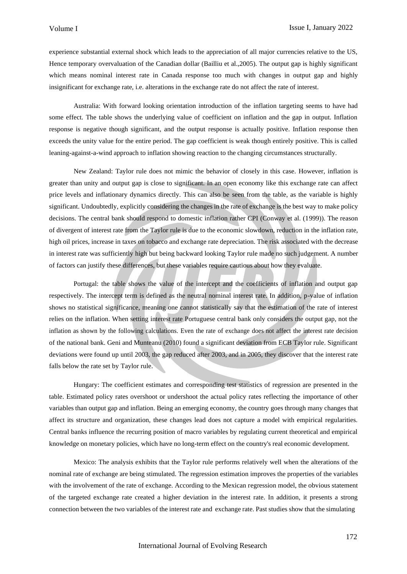experience substantial external shock which leads to the appreciation of all major currencies relative to the US, Hence temporary overvaluation of the Canadian dollar (Bailliu et al.,2005). The output gap is highly significant which means nominal interest rate in Canada response too much with changes in output gap and highly insignificant for exchange rate, i.e. alterations in the exchange rate do not affect the rate of interest.

Australia: With forward looking orientation introduction of the inflation targeting seems to have had some effect. The table shows the underlying value of coefficient on inflation and the gap in output. Inflation response is negative though significant, and the output response is actually positive. Inflation response then exceeds the unity value for the entire period. The gap coefficient is weak though entirely positive. This is called leaning-against-a-wind approach to inflation showing reaction to the changing circumstances structurally.

New Zealand: Taylor rule does not mimic the behavior of closely in this case. However, inflation is greater than unity and output gap is close to significant. In an open economy like this exchange rate can affect price levels and inflationary dynamics directly. This can also be seen from the table, as the variable is highly significant. Undoubtedly, explicitly considering the changes in the rate of exchange is the best way to make policy decisions. The central bank should respond to domestic inflation rather CPI (Conway et al. (1999)). The reason of divergent of interest rate from the Taylor rule is due to the economic slowdown, reduction in the inflation rate, high oil prices, increase in taxes on tobacco and exchange rate depreciation. The risk associated with the decrease in interest rate was sufficiently high but being backward looking Taylor rule made no such judgement. A number of factors can justify these differences, but these variables require cautious about how they evaluate.

Portugal: the table shows the value of the intercept and the coefficients of inflation and output gap respectively. The intercept term is defined as the neutral nominal interest rate. In addition, p-value of inflation shows no statistical significance, meaning one cannot statistically say that the estimation of the rate of interest relies on the inflation. When setting interest rate Portuguese central bank only considers the output gap, not the inflation as shown by the following calculations. Even the rate of exchange does not affect the interest rate decision of the national bank. Geni and Munteanu (2010) found a significant deviation from ECB Taylor rule. Significant deviations were found up until 2003, the gap reduced after 2003, and in 2005, they discover that the interest rate falls below the rate set by Taylor rule.

Hungary: The coefficient estimates and corresponding test statistics of regression are presented in the table. Estimated policy rates overshoot or undershoot the actual policy rates reflecting the importance of other variables than output gap and inflation. Being an emerging economy, the country goes through many changes that affect its structure and organization, these changes lead does not capture a model with empirical regularities. Central banks influence the recurring position of macro variables by regulating current theoretical and empirical knowledge on monetary policies, which have no long-term effect on the country's real economic development.

Mexico: The analysis exhibits that the Taylor rule performs relatively well when the alterations of the nominal rate of exchange are being stimulated. The regression estimation improves the properties of the variables with the involvement of the rate of exchange. According to the Mexican regression model, the obvious statement of the targeted exchange rate created a higher deviation in the interest rate. In addition, it presents a strong connection between the two variables of the interest rate and exchange rate. Past studies show that the simulating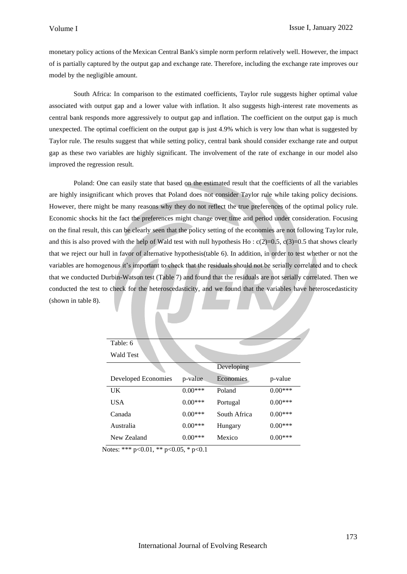monetary policy actions of the Mexican Central Bank's simple norm perform relatively well. However, the impact of is partially captured by the output gap and exchange rate. Therefore, including the exchange rate improves our model by the negligible amount.

South Africa: In comparison to the estimated coefficients, Taylor rule suggests higher optimal value associated with output gap and a lower value with inflation. It also suggests high-interest rate movements as central bank responds more aggressively to output gap and inflation. The coefficient on the output gap is much unexpected. The optimal coefficient on the output gap is just 4.9% which is very low than what is suggested by Taylor rule. The results suggest that while setting policy, central bank should consider exchange rate and output gap as these two variables are highly significant. The involvement of the rate of exchange in our model also improved the regression result.

Poland: One can easily state that based on the estimated result that the coefficients of all the variables are highly insignificant which proves that Poland does not consider Taylor rule while taking policy decisions. However, there might be many reasons why they do not reflect the true preferences of the optimal policy rule. Economic shocks hit the fact the preferences might change over time and period under consideration. Focusing on the final result, this can be clearly seen that the policy setting of the economies are not following Taylor rule, and this is also proved with the help of Wald test with null hypothesis Ho :  $c(2)=0.5$ ,  $c(3)=0.5$  that shows clearly that we reject our hull in favor of alternative hypothesis(table 6). In addition, in order to test whether or not the variables are homogenous it's important to check that the residuals should not be serially correlated and to check that we conducted Durbin-Watson test (Table 7) and found that the residuals are not serially correlated. Then we conducted the test to check for the heteroscedasticity, and we found that the variables have heteroscedasticity (shown in table 8).

| Table: 6            |           |              |           |
|---------------------|-----------|--------------|-----------|
| Wald Test           |           |              |           |
|                     |           | Developing   |           |
| Developed Economies | p-value   | Economies    | p-value   |
| UK                  | $0.00***$ | Poland       | $0.00***$ |
| <b>USA</b>          | $0.00***$ | Portugal     | $0.00***$ |
| Canada              | $0.00***$ | South Africa | $0.00***$ |
| Australia           | $0.00***$ | Hungary      | $0.00***$ |
| New Zealand         | $0.00***$ | Mexico       | $0.00***$ |

Notes: \*\*\* p<0.01, \*\* p<0.05, \* p<0.1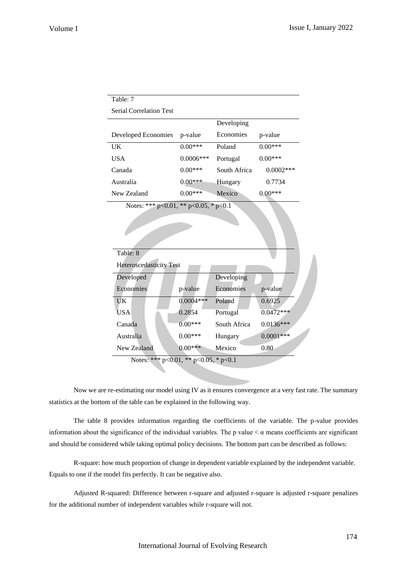| Table: 7                                      |             |              |             |
|-----------------------------------------------|-------------|--------------|-------------|
| <b>Serial Correlation Test</b>                |             |              |             |
|                                               |             | Developing   |             |
| Developed Economies                           | p-value     | Economies    | p-value     |
| <b>UK</b>                                     | $0.00***$   | Poland       | $0.00***$   |
| <b>USA</b>                                    | $0.0006***$ | Portugal     | $0.00***$   |
| Canada                                        | $0.00***$   | South Africa | $0.0002***$ |
| Australia                                     | $0.00***$   | Hungary      | 0.7734      |
| New Zealand                                   | $0.00***$   | Mexico       | $0.00***$   |
| Notes: *** $p<0.01$ , ** $p<0.05$ , * $p<0.1$ |             |              |             |
| Table: 8                                      |             |              |             |
| <b>Heteroscedasticity Test</b>                |             |              |             |
| Developed                                     |             | Developing   |             |
| Economies                                     | p-value     | Economies    | p-value     |
| <b>UK</b>                                     | $0.0004***$ | Poland       | 0.6925      |
| USA                                           | 0.2854      | Portugal     | $0.0472***$ |
| Canada                                        | $0.00***$   | South Africa | $0.0136***$ |
| Australia                                     | $0.00***$   | Hungary      | $0.0001***$ |
| New Zealand                                   | $0.00***$   | Mexico       | 0.80        |

Notes: \*\*\* p<0.01, \*\* p<0.05, \* p<0.1

Now we are re-estimating our model using IV as it ensures convergence at a very fast rate. The summary statistics at the bottom of the table can be explained in the following way.

The table 8 provides information regarding the coefficients of the variable. The p-value provides information about the significance of the individual variables. The p value  $\lt \alpha$  means coefficients are significant and should be considered while taking optimal policy decisions. The bottom part can be described as follows:

R-square: how much proportion of change in dependent variable explained by the independent variable. Equals to one if the model fits perfectly. It can be negative also.

Adjusted R-squared: Difference between r-square and adjusted r-square is adjusted r-square penalizes for the additional number of independent variables while r-square will not.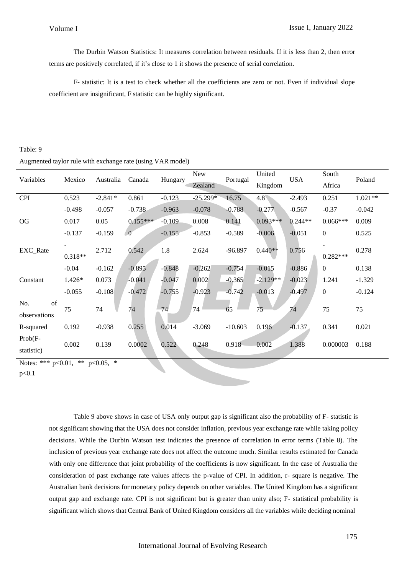The Durbin Watson Statistics: It measures correlation between residuals. If it is less than 2, then error terms are positively correlated, if it's close to 1 it shows the presence of serial correlation.

F- statistic: It is a test to check whether all the coefficients are zero or not. Even if individual slope coefficient are insignificant, F statistic can be highly significant.

## Table: 9

## Augmented taylor rule with exchange rate (using VAR model)

| Variables                             | Mexico    | Australia | Canada     | Hungary  | New<br>Zealand | Portugal  | United<br>Kingdom | <b>USA</b> | South<br>Africa  | Poland    |
|---------------------------------------|-----------|-----------|------------|----------|----------------|-----------|-------------------|------------|------------------|-----------|
| <b>CPI</b>                            | 0.523     | $-2.841*$ | 0.861      | $-0.123$ | $-25.299*$     | 16.75     | 4.8 <sup>°</sup>  | $-2.493$   | 0.251            | $1.021**$ |
|                                       | $-0.498$  | $-0.057$  | $-0.738$   | $-0.963$ | $-0.078$       | $-0.788$  | $-0.277$          | $-0.567$   | $-0.37$          | $-0.042$  |
| OG                                    | 0.017     | 0.05      | $0.155***$ | $-0.109$ | 0.008          | 0.141     | $0.093***$        | $0.244**$  | $0.066***$       | 0.009     |
|                                       | $-0.137$  | $-0.159$  | $\theta$   | $-0.155$ | $-0.853$       | $-0.589$  | $-0.006$          | $-0.051$   | $\boldsymbol{0}$ | 0.525     |
| EXC_Rate                              | $0.318**$ | 2.712     | 0.542      | 1.8      | 2.624          | $-96.897$ | $0.440**$         | 0.756      | $0.282***$       | 0.278     |
|                                       | $-0.04$   | $-0.162$  | $-0.895$   | $-0.848$ | $-0.262$       | $-0.754$  | $-0.015$          | $-0.886$   | $\boldsymbol{0}$ | 0.138     |
| Constant                              | 1.426*    | 0.073     | $-0.041$   | -0.047   | 0.002          | $-0.365$  | $-2.129**$        | $-0.023$   | 1.241            | $-1.329$  |
|                                       | $-0.055$  | $-0.108$  | $-0.472$   | $-0.755$ | $-0.923$       | $-0.742$  | $-0.013$          | $-0.497$   | $\boldsymbol{0}$ | $-0.124$  |
| of<br>No.<br>observations             | 75        | 74        | 74         | 74       | 74             | 65        | 75                | 74         | 75               | 75        |
| R-squared                             | 0.192     | $-0.938$  | 0.255      | 0.014    | $-3.069$       | $-10.603$ | 0.196             | $-0.137$   | 0.341            | 0.021     |
| $Prob(F -$<br>statistic)              | 0.002     | 0.139     | 0.0002     | 0.522    | 0.248          | 0.918     | 0.002             | 1.388      | 0.000003         | 0.188     |
| Notes: *** $p<0.01$ , ** $p<0.05$ , * |           |           |            |          |                |           |                   |            |                  |           |

p<0.1

Table 9 above shows in case of USA only output gap is significant also the probability of F- statistic is not significant showing that the USA does not consider inflation, previous year exchange rate while taking policy decisions. While the Durbin Watson test indicates the presence of correlation in error terms (Table 8). The inclusion of previous year exchange rate does not affect the outcome much. Similar results estimated for Canada with only one difference that joint probability of the coefficients is now significant. In the case of Australia the consideration of past exchange rate values affects the p-value of CPI. In addition, r- square is negative. The Australian bank decisions for monetary policy depends on other variables. The United Kingdom has a significant output gap and exchange rate. CPI is not significant but is greater than unity also; F- statistical probability is significant which shows that Central Bank of United Kingdom considers all the variables while deciding nominal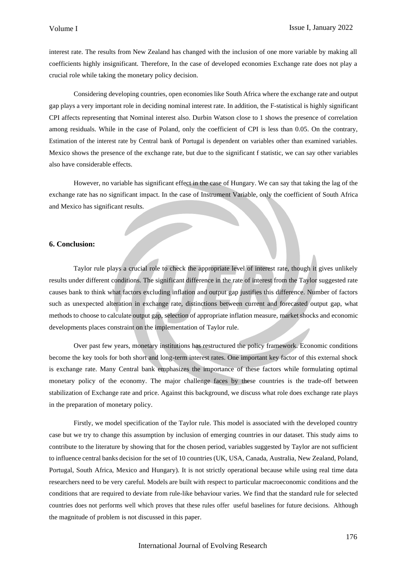interest rate. The results from New Zealand has changed with the inclusion of one more variable by making all coefficients highly insignificant. Therefore, In the case of developed economies Exchange rate does not play a crucial role while taking the monetary policy decision.

Considering developing countries, open economies like South Africa where the exchange rate and output gap plays a very important role in deciding nominal interest rate. In addition, the F-statistical is highly significant CPI affects representing that Nominal interest also. Durbin Watson close to 1 shows the presence of correlation among residuals. While in the case of Poland, only the coefficient of CPI is less than 0.05. On the contrary, Estimation of the interest rate by Central bank of Portugal is dependent on variables other than examined variables. Mexico shows the presence of the exchange rate, but due to the significant f statistic, we can say other variables also have considerable effects.

However, no variable has significant effect in the case of Hungary. We can say that taking the lag of the exchange rate has no significant impact. In the case of Instrument Variable, only the coefficient of South Africa and Mexico has significant results.

#### **6. Conclusion:**

Taylor rule plays a crucial role to check the appropriate level of interest rate, though it gives unlikely results under different conditions. The significant difference in the rate of interest from the Taylor suggested rate causes bank to think what factors excluding inflation and output gap justifies this difference. Number of factors such as unexpected alteration in exchange rate, distinctions between current and forecasted output gap, what methods to choose to calculate output gap, selection of appropriate inflation measure, market shocks and economic developments places constraint on the implementation of Taylor rule.

Over past few years, monetary institutions has restructured the policy framework. Economic conditions become the key tools for both short and long-term interest rates. One important key factor of this external shock is exchange rate. Many Central bank emphasizes the importance of these factors while formulating optimal monetary policy of the economy. The major challenge faces by these countries is the trade-off between stabilization of Exchange rate and price. Against this background, we discuss what role does exchange rate plays in the preparation of monetary policy.

Firstly, we model specification of the Taylor rule. This model is associated with the developed country case but we try to change this assumption by inclusion of emerging countries in our dataset. This study aims to contribute to the literature by showing that for the chosen period, variables suggested by Taylor are not sufficient to influence central banks decision for the set of 10 countries (UK, USA, Canada, Australia, New Zealand, Poland, Portugal, South Africa, Mexico and Hungary). It is not strictly operational because while using real time data researchers need to be very careful. Models are built with respect to particular macroeconomic conditions and the conditions that are required to deviate from rule-like behaviour varies. We find that the standard rule for selected countries does not performs well which proves that these rules offer useful baselines for future decisions. Although the magnitude of problem is not discussed in this paper.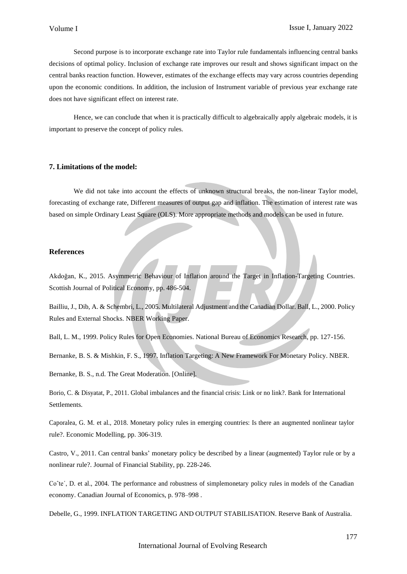Second purpose is to incorporate exchange rate into Taylor rule fundamentals influencing central banks decisions of optimal policy. Inclusion of exchange rate improves our result and shows significant impact on the central banks reaction function. However, estimates of the exchange effects may vary across countries depending upon the economic conditions. In addition, the inclusion of Instrument variable of previous year exchange rate does not have significant effect on interest rate.

Hence, we can conclude that when it is practically difficult to algebraically apply algebraic models, it is important to preserve the concept of policy rules.

## **7. Limitations of the model:**

We did not take into account the effects of unknown structural breaks, the non-linear Taylor model, forecasting of exchange rate, Different measures of output gap and inflation. The estimation of interest rate was based on simple Ordinary Least Square (OLS). More appropriate methods and models can be used in future.

#### **References**

Akdoğan, K., 2015. Asymmetric Behaviour of Inflation around the Target in Inflation-Targeting Countries. Scottish Journal of Political Economy, pp. 486-504.

Bailliu, J., Dib, A. & Schembri, L., 2005. Multilateral Adjustment and the Canadian Dollar. Ball, L., 2000. Policy Rules and External Shocks. NBER Working Paper.

Ball, L. M., 1999. Policy Rules for Open Economies. National Bureau of Economics Research, pp. 127-156.

Bernanke, B. S. & Mishkin, F. S., 1997. Inflation Targeting: A New Framework For Monetary Policy. NBER.

Bernanke, B. S., n.d. The Great Moderation. [Online].

Borio, C. & Disyatat, P., 2011. Global imbalances and the financial crisis: Link or no link?. Bank for International Settlements.

Caporalea, G. M. et al., 2018. Monetary policy rules in emerging countries: Is there an augmented nonlinear taylor rule?. Economic Modelling, pp. 306-319.

Castro, V., 2011. Can central banks' monetary policy be described by a linear (augmented) Taylor rule or by a nonlinear rule?. Journal of Financial Stability, pp. 228-246.

Co^te', D. et al., 2004. The performance and robustness of simplemonetary policy rules in models of the Canadian economy. Canadian Journal of Economics, p. 978–998 .

Debelle, G., 1999. INFLATION TARGETING AND OUTPUT STABILISATION. Reserve Bank of Australia.